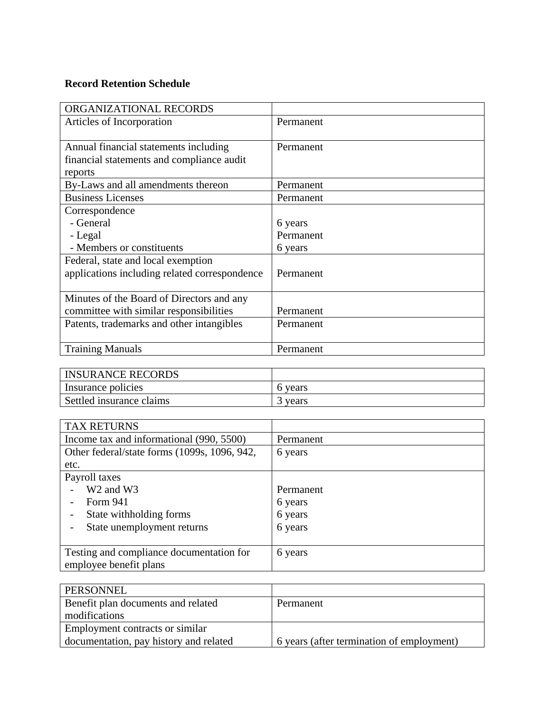## **Record Retention Schedule**

| ORGANIZATIONAL RECORDS                        |           |
|-----------------------------------------------|-----------|
| Articles of Incorporation                     | Permanent |
|                                               |           |
| Annual financial statements including         | Permanent |
| financial statements and compliance audit     |           |
| reports                                       |           |
| By-Laws and all amendments thereon            | Permanent |
| <b>Business Licenses</b>                      | Permanent |
| Correspondence                                |           |
| - General                                     | 6 years   |
| - Legal                                       | Permanent |
| - Members or constituents                     | 6 years   |
| Federal, state and local exemption            |           |
| applications including related correspondence | Permanent |
|                                               |           |
| Minutes of the Board of Directors and any     |           |
| committee with similar responsibilities       | Permanent |
| Patents, trademarks and other intangibles     | Permanent |
|                                               |           |
| <b>Training Manuals</b>                       | Permanent |

| <b>INSURANCE RECORDS</b> |         |
|--------------------------|---------|
| Insurance policies       | 6 years |
| Settled insurance claims | vears   |

| <b>TAX RETURNS</b>                           |           |
|----------------------------------------------|-----------|
| Income tax and informational (990, 5500)     | Permanent |
| Other federal/state forms (1099s, 1096, 942, | 6 years   |
| etc.                                         |           |
| Payroll taxes                                |           |
| W <sub>2</sub> and W <sub>3</sub>            | Permanent |
| Form 941                                     | 6 years   |
| State withholding forms                      | 6 years   |
| State unemployment returns                   | 6 years   |
|                                              |           |
| Testing and compliance documentation for     | 6 years   |
| employee benefit plans                       |           |

| <b>PERSONNEL</b>                       |                                           |
|----------------------------------------|-------------------------------------------|
| Benefit plan documents and related     | Permanent                                 |
| modifications                          |                                           |
| Employment contracts or similar        |                                           |
| documentation, pay history and related | 6 years (after termination of employment) |